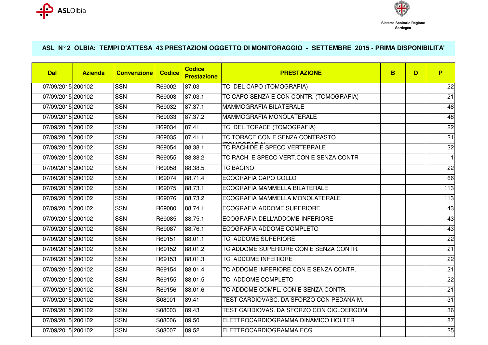



## **ASL N° 2 OLBIA: TEMPI D'ATTESA 43 PRESTAZIONI OGGETTO DI MONITORAGGIO - SETTEMBRE 2015 - PRIMA DISPONIBILITA'**

| <b>Dal</b>        | <b>Azienda</b> | <b>Convenzione</b> | <b>Codice</b> | <b>Codice</b><br><b>Prestazione</b> | <b>PRESTAZIONE</b>                       | B. | D | P               |
|-------------------|----------------|--------------------|---------------|-------------------------------------|------------------------------------------|----|---|-----------------|
| 07/09/2015 200102 |                | <b>SSN</b>         | R69002        | 87.03                               | TC DEL CAPO (TOMOGRAFIA)                 |    |   | 22              |
| 07/09/2015 200102 |                | <b>SSN</b>         | R69003        | 87.03.1                             | TC CAPO SENZA E CON CONTR. (TOMOGRAFIA)  |    |   | 21              |
| 07/09/2015 200102 |                | <b>SSN</b>         | R69032        | 87.37.1                             | <b>MAMMOGRAFIA BILATERALE</b>            |    |   | 48              |
| 07/09/2015 200102 |                | <b>SSN</b>         | R69033        | 87.37.2                             | MAMMOGRAFIA MONOLATERALE                 |    |   | 48              |
| 07/09/2015 200102 |                | <b>SSN</b>         | R69034        | 87.41                               | TC DEL TORACE (TOMOGRAFIA)               |    |   | 22              |
| 07/09/2015 200102 |                | <b>SSN</b>         | R69035        | 87.41.1                             | TC TORACE CON E SENZA CONTRASTO          |    |   | $\overline{21}$ |
| 07/09/2015 200102 |                | <b>SSN</b>         | R69054        | 88.38.1                             | TC RACHIDE E SPECO VERTEBRALE            |    |   | $\overline{2}$  |
| 07/09/2015 200102 |                | <b>SSN</b>         | R69055        | 88.38.2                             | TC RACH. E SPECO VERT.CON E SENZA CONTR  |    |   | $\mathbf{1}$    |
| 07/09/2015 200102 |                | <b>SSN</b>         | R69058        | 88.38.5                             | <b>TC BACINO</b>                         |    |   | 22              |
| 07/09/2015 200102 |                | <b>SSN</b>         | R69074        | 88.71.4                             | <b>ECOGRAFIA CAPO COLLO</b>              |    |   | 66              |
| 07/09/2015 200102 |                | <b>SSN</b>         | R69075        | 88.73.1                             | ECOGRAFIA MAMMELLA BILATERALE            |    |   | 113             |
| 07/09/2015 200102 |                | <b>SSN</b>         | R69076        | 88.73.2                             | ECOGRAFIA MAMMELLA MONOLATERALE          |    |   | 113             |
| 07/09/2015 200102 |                | <b>SSN</b>         | R69080        | 88.74.1                             | ECOGRAFIA ADDOME SUPERIORE               |    |   | 43              |
| 07/09/2015 200102 |                | <b>SSN</b>         | R69085        | 88.75.1                             | ECOGRAFIA DELL'ADDOME INFERIORE          |    |   | 43              |
| 07/09/2015 200102 |                | <b>SSN</b>         | R69087        | 88.76.1                             | ECOGRAFIA ADDOME COMPLETO                |    |   | 43              |
| 07/09/2015 200102 |                | <b>SSN</b>         | R69151        | 88.01.1                             | <b>TC ADDOME SUPERIORE</b>               |    |   | $\overline{22}$ |
| 07/09/2015 200102 |                | <b>SSN</b>         | R69152        | 88.01.2                             | TC ADDOME SUPERIORE CON E SENZA CONTR.   |    |   | $\overline{21}$ |
| 07/09/2015 200102 |                | <b>SSN</b>         | R69153        | 88.01.3                             | <b>TC ADDOME INFERIORE</b>               |    |   | $\overline{22}$ |
| 07/09/2015 200102 |                | <b>SSN</b>         | R69154        | 88.01.4                             | TC ADDOME INFERIORE CON E SENZA CONTR.   |    |   | 21              |
| 07/09/2015 200102 |                | <b>SSN</b>         | R69155        | 88.01.5                             | TC ADDOME COMPLETO                       |    |   | 22              |
| 07/09/2015 200102 |                | <b>SSN</b>         | R69156        | 88.01.6                             | TC ADDOME COMPL. CON E SENZA CONTR.      |    |   | $\overline{21}$ |
| 07/09/2015 200102 |                | <b>SSN</b>         | S08001        | 89.41                               | TEST CARDIOVASC. DA SFORZO CON PEDANA M. |    |   | 31              |
| 07/09/2015 200102 |                | <b>SSN</b>         | S08003        | 89.43                               | TEST CARDIOVAS. DA SFORZO CON CICLOERGOM |    |   | 36              |
| 07/09/2015 200102 |                | <b>SSN</b>         | S08006        | 89.50                               | ELETTROCARDIOGRAMMA DINAMICO HOLTER      |    |   | 87              |
| 07/09/2015 200102 |                | <b>SSN</b>         | S08007        | 89.52                               | ELETTROCARDIOGRAMMA ECG                  |    |   | 25              |